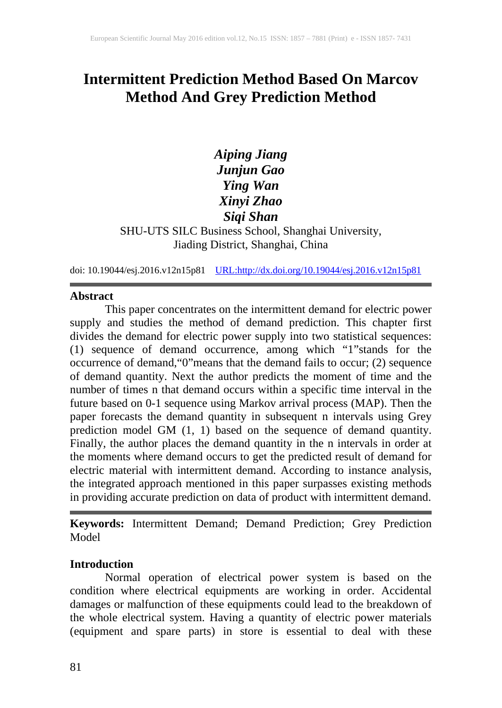# **Intermittent Prediction Method Based On Marcov Method And Grey Prediction Method**

# *Aiping Jiang Junjun Gao Ying Wan Xinyi Zhao Siqi Shan*

SHU-UTS SILC Business School, Shanghai University, Jiading District, Shanghai, China

doi: 10.19044/esj.2016.v12n15p81 [URL:http://dx.doi.org/10.19044/esj.2016.v12n15p81](http://dx.doi.org/10.19044/esj.2016.v12n15p81)

#### **Abstract**

This paper concentrates on the intermittent demand for electric power supply and studies the method of demand prediction. This chapter first divides the demand for electric power supply into two statistical sequences: (1) sequence of demand occurrence, among which "1"stands for the occurrence of demand,"0"means that the demand fails to occur; (2) sequence of demand quantity. Next the author predicts the moment of time and the number of times n that demand occurs within a specific time interval in the future based on 0-1 sequence using Markov arrival process (MAP). Then the paper forecasts the demand quantity in subsequent n intervals using Grey prediction model GM (1, 1) based on the sequence of demand quantity. Finally, the author places the demand quantity in the n intervals in order at the moments where demand occurs to get the predicted result of demand for electric material with intermittent demand. According to instance analysis, the integrated approach mentioned in this paper surpasses existing methods in providing accurate prediction on data of product with intermittent demand.

**Keywords:** Intermittent Demand; Demand Prediction; Grey Prediction **Model** 

## **Introduction**

Normal operation of electrical power system is based on the condition where electrical equipments are working in order. Accidental damages or malfunction of these equipments could lead to the breakdown of the whole electrical system. Having a quantity of electric power materials (equipment and spare parts) in store is essential to deal with these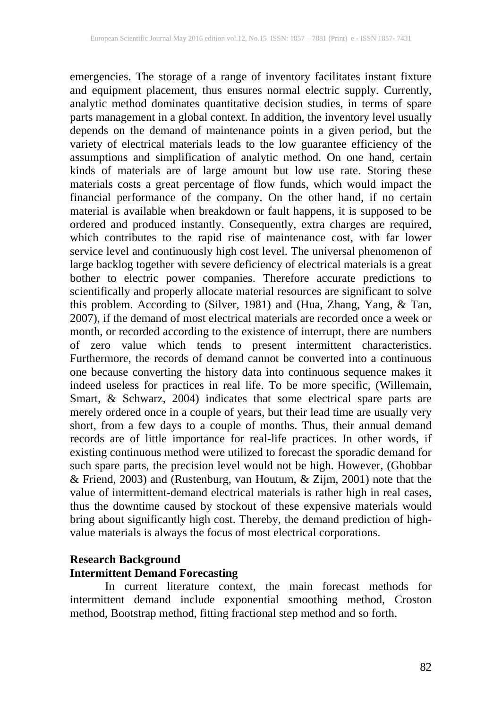emergencies. The storage of a range of inventory facilitates instant fixture and equipment placement, thus ensures normal electric supply. Currently, analytic method dominates quantitative decision studies, in terms of spare parts management in a global context. In addition, the inventory level usually depends on the demand of maintenance points in a given period, but the variety of electrical materials leads to the low guarantee efficiency of the assumptions and simplification of analytic method. On one hand, certain kinds of materials are of large amount but low use rate. Storing these materials costs a great percentage of flow funds, which would impact the financial performance of the company. On the other hand, if no certain material is available when breakdown or fault happens, it is supposed to be ordered and produced instantly. Consequently, extra charges are required, which contributes to the rapid rise of maintenance cost, with far lower service level and continuously high cost level. The universal phenomenon of large backlog together with severe deficiency of electrical materials is a great bother to electric power companies. Therefore accurate predictions to scientifically and properly allocate material resources are significant to solve this problem. According to (Silver, 1981) and (Hua, Zhang, Yang, & Tan, 2007), if the demand of most electrical materials are recorded once a week or month, or recorded according to the existence of interrupt, there are numbers of zero value which tends to present intermittent characteristics. Furthermore, the records of demand cannot be converted into a continuous one because converting the history data into continuous sequence makes it indeed useless for practices in real life. To be more specific, (Willemain, Smart, & Schwarz, 2004) indicates that some electrical spare parts are merely ordered once in a couple of years, but their lead time are usually very short, from a few days to a couple of months. Thus, their annual demand records are of little importance for real-life practices. In other words, if existing continuous method were utilized to forecast the sporadic demand for such spare parts, the precision level would not be high. However, (Ghobbar & Friend, 2003) and (Rustenburg, van Houtum, & Zijm, 2001) note that the value of intermittent-demand electrical materials is rather high in real cases, thus the downtime caused by stockout of these expensive materials would bring about significantly high cost. Thereby, the demand prediction of highvalue materials is always the focus of most electrical corporations.

# **Research Background Intermittent Demand Forecasting**

In current literature context, the main forecast methods for intermittent demand include exponential smoothing method, Croston method, Bootstrap method, fitting fractional step method and so forth.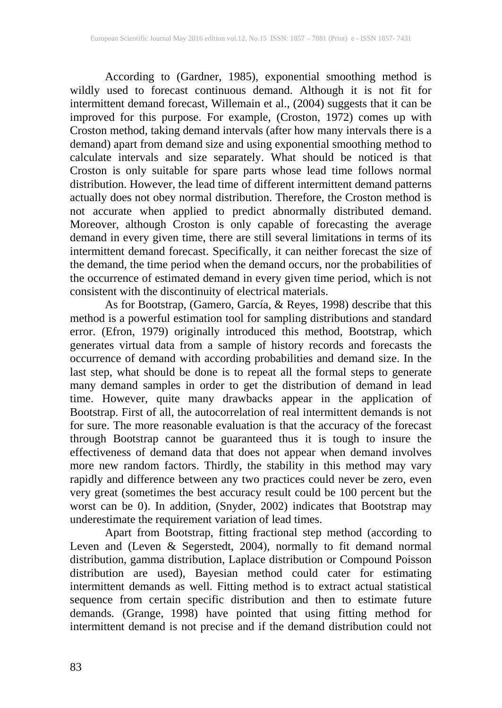According to (Gardner, 1985), exponential smoothing method is wildly used to forecast continuous demand. Although it is not fit for intermittent demand forecast, Willemain et al., (2004) suggests that it can be improved for this purpose. For example, (Croston, 1972) comes up with Croston method, taking demand intervals (after how many intervals there is a demand) apart from demand size and using exponential smoothing method to calculate intervals and size separately. What should be noticed is that Croston is only suitable for spare parts whose lead time follows normal distribution. However, the lead time of different intermittent demand patterns actually does not obey normal distribution. Therefore, the Croston method is not accurate when applied to predict abnormally distributed demand. Moreover, although Croston is only capable of forecasting the average demand in every given time, there are still several limitations in terms of its intermittent demand forecast. Specifically, it can neither forecast the size of the demand, the time period when the demand occurs, nor the probabilities of the occurrence of estimated demand in every given time period, which is not consistent with the discontinuity of electrical materials.

As for Bootstrap, (Gamero, García, & Reyes, 1998) describe that this method is a powerful estimation tool for sampling distributions and standard error. (Efron, 1979) originally introduced this method, Bootstrap, which generates virtual data from a sample of history records and forecasts the occurrence of demand with according probabilities and demand size. In the last step, what should be done is to repeat all the formal steps to generate many demand samples in order to get the distribution of demand in lead time. However, quite many drawbacks appear in the application of Bootstrap. First of all, the autocorrelation of real intermittent demands is not for sure. The more reasonable evaluation is that the accuracy of the forecast through Bootstrap cannot be guaranteed thus it is tough to insure the effectiveness of demand data that does not appear when demand involves more new random factors. Thirdly, the stability in this method may vary rapidly and difference between any two practices could never be zero, even very great (sometimes the best accuracy result could be 100 percent but the worst can be 0). In addition, (Snyder, 2002) indicates that Bootstrap may underestimate the requirement variation of lead times.

Apart from Bootstrap, fitting fractional step method (according to Leven and (Leven & Segerstedt, 2004), normally to fit demand normal distribution, gamma distribution, Laplace distribution or Compound Poisson distribution are used), Bayesian method could cater for estimating intermittent demands as well. Fitting method is to extract actual statistical sequence from certain specific distribution and then to estimate future demands. (Grange, 1998) have pointed that using fitting method for intermittent demand is not precise and if the demand distribution could not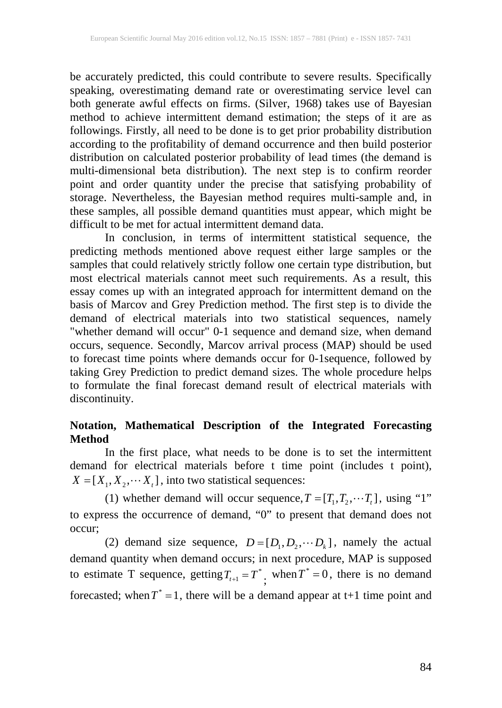be accurately predicted, this could contribute to severe results. Specifically speaking, overestimating demand rate or overestimating service level can both generate awful effects on firms. (Silver, 1968) takes use of Bayesian method to achieve intermittent demand estimation; the steps of it are as followings. Firstly, all need to be done is to get prior probability distribution according to the profitability of demand occurrence and then build posterior distribution on calculated posterior probability of lead times (the demand is multi-dimensional beta distribution). The next step is to confirm reorder point and order quantity under the precise that satisfying probability of storage. Nevertheless, the Bayesian method requires multi-sample and, in these samples, all possible demand quantities must appear, which might be difficult to be met for actual intermittent demand data.

In conclusion, in terms of intermittent statistical sequence, the predicting methods mentioned above request either large samples or the samples that could relatively strictly follow one certain type distribution, but most electrical materials cannot meet such requirements. As a result, this essay comes up with an integrated approach for intermittent demand on the basis of Marcov and Grey Prediction method. The first step is to divide the demand of electrical materials into two statistical sequences, namely "whether demand will occur" 0-1 sequence and demand size, when demand occurs, sequence. Secondly, Marcov arrival process (MAP) should be used to forecast time points where demands occur for 0-1sequence, followed by taking Grey Prediction to predict demand sizes. The whole procedure helps to formulate the final forecast demand result of electrical materials with discontinuity.

# **Notation, Mathematical Description of the Integrated Forecasting Method**

In the first place, what needs to be done is to set the intermittent demand for electrical materials before t time point (includes t point),  $X = [X_1, X_2, \cdots X_t]$ , into two statistical sequences:

(1) whether demand will occur sequence,  $T = [T_1, T_2, \dots, T_r]$ , using "1" to express the occurrence of demand, "0" to present that demand does not occur;

(2) demand size sequence,  $D = [D_1, D_2, \cdots, D_k]$ , namely the actual demand quantity when demand occurs; in next procedure, MAP is supposed to estimate T sequence, getting  $T_{t+1} = T^*$ , when  $T^* = 0$ , there is no demand forecasted; when  $T^* = 1$ , there will be a demand appear at t+1 time point and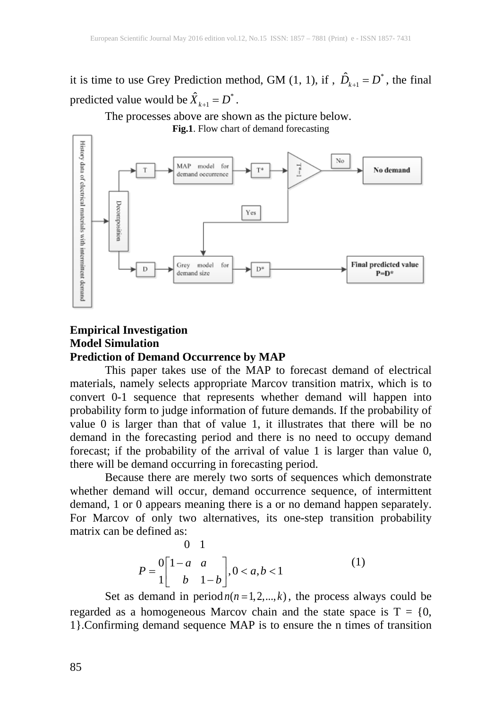it is time to use Grey Prediction method, GM  $(1, 1)$ , if,  $\hat{D}_{k+1} = D^*$ , the final predicted value would be  $\hat{X}_{k+1} = D^*$ .

The processes above are shown as the picture below.



## **Empirical Investigation Model Simulation Prediction of Demand Occurrence by MAP**

This paper takes use of the MAP to forecast demand of electrical materials, namely selects appropriate Marcov transition matrix, which is to convert 0-1 sequence that represents whether demand will happen into probability form to judge information of future demands. If the probability of value 0 is larger than that of value 1, it illustrates that there will be no demand in the forecasting period and there is no need to occupy demand forecast; if the probability of the arrival of value 1 is larger than value 0, there will be demand occurring in forecasting period.

Because there are merely two sorts of sequences which demonstrate whether demand will occur, demand occurrence sequence, of intermittent demand, 1 or 0 appears meaning there is a or no demand happen separately. For Marcov of only two alternatives, its one-step transition probability matrix can be defined as:

$$
P = \begin{bmatrix} 0 & 1 \\ 1 - a & a \\ 1 & b & 1 - b \end{bmatrix}, 0 < a, b < 1 \tag{1}
$$

Set as demand in period  $n(n = 1, 2, \dots, k)$ , the process always could be regarded as a homogeneous Marcov chain and the state space is  $T = \{0,$ 1}.Confirming demand sequence MAP is to ensure the n times of transition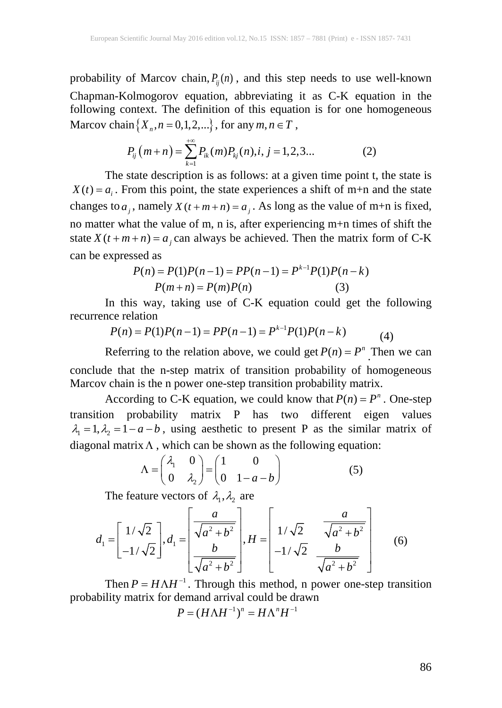probability of Marcov chain,  $P_{ij}(n)$ , and this step needs to use well-known Chapman-Kolmogorov equation, abbreviating it as C-K equation in the following context. The definition of this equation is for one homogeneous Marcov chain  $\{X_n, n = 0, 1, 2, ...\}$ , for any  $m, n \in T$ ,

$$
P_{ij}(m+n) = \sum_{k=1}^{+\infty} P_{ik}(m) P_{kj}(n), i, j = 1, 2, 3...
$$
 (2)

The state description is as follows: at a given time point t, the state is  $X(t) = a_i$ . From this point, the state experiences a shift of m+n and the state changes to  $a_j$ , namely  $X(t + m + n) = a_j$ . As long as the value of m+n is fixed, no matter what the value of m, n is, after experiencing m+n times of shift the state  $X(t + m + n) = a_i$  can always be achieved. Then the matrix form of C-K can be expressed as

$$
P(n) = P(1)P(n-1) = PP(n-1) = P^{k-1}P(1)P(n-k)
$$
  

$$
P(m+n) = P(m)P(n)
$$
 (3)

In this way, taking use of C-K equation could get the following recurrence relation

$$
P(n) = P(1)P(n-1) = PP(n-1) = P^{k-1}P(1)P(n-k)
$$
\n(4)

Referring to the relation above, we could get  $P(n) = P^n$ . Then we can conclude that the n-step matrix of transition probability of homogeneous Marcov chain is the n power one-step transition probability matrix.

According to C-K equation, we could know that  $P(n) = P^n$ . One-step transition probability matrix P has two different eigen values  $\lambda_1 = 1, \lambda_2 = 1 - a - b$ , using aesthetic to present P as the similar matrix of diagonal matrix  $\Lambda$ , which can be shown as the following equation:

$$
\Lambda = \begin{pmatrix} \lambda_1 & 0 \\ 0 & \lambda_2 \end{pmatrix} = \begin{pmatrix} 1 & 0 \\ 0 & 1 - a - b \end{pmatrix}
$$
 (5)

The feature vectors of  $\lambda_1, \lambda_2$  are

$$
d_1 = \begin{bmatrix} 1/\sqrt{2} \\ -1/\sqrt{2} \end{bmatrix}, d_1 = \begin{bmatrix} \frac{a}{\sqrt{a^2 + b^2}} \\ \frac{b}{\sqrt{a^2 + b^2}} \end{bmatrix}, H = \begin{bmatrix} 1/\sqrt{2} & \frac{a}{\sqrt{a^2 + b^2}} \\ -1/\sqrt{2} & \frac{b}{\sqrt{a^2 + b^2}} \end{bmatrix}
$$
(6)

Then  $P = H \Lambda H^{-1}$ . Through this method, n power one-step transition probability matrix for demand arrival could be drawn

$$
P = (H\Lambda H^{-1})^n = H\Lambda^n H^{-1}
$$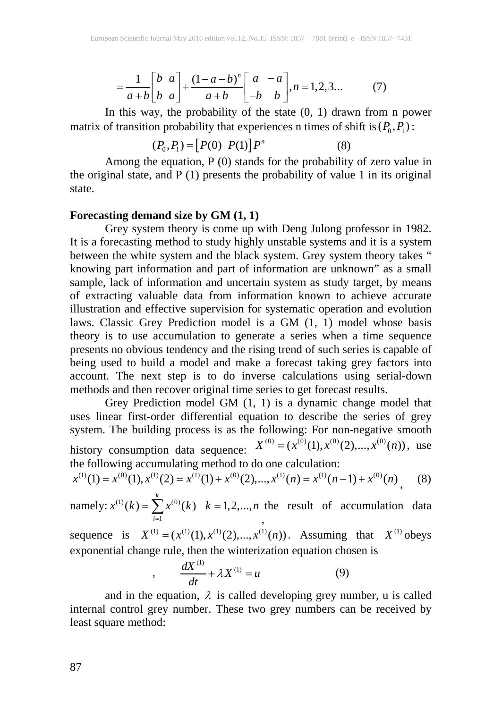$$
=\frac{1}{a+b}\begin{bmatrix}b&a\\b&a\end{bmatrix}+\frac{(1-a-b)^n}{a+b}\begin{bmatrix}a&-a\\-b&b\end{bmatrix}, n=1,2,3... \tag{7}
$$

In this way, the probability of the state  $(0, 1)$  drawn from n power matrix of transition probability that experiences n times of shift is  $(P_0, P_1)$ :

$$
(P_0, P_1) = [P(0) \ P(1)] P^n \tag{8}
$$

Among the equation, P (0) stands for the probability of zero value in the original state, and  $P(1)$  presents the probability of value 1 in its original state.

#### **Forecasting demand size by GM (1, 1)**

,

Grey system theory is come up with Deng Julong professor in 1982. It is a forecasting method to study highly unstable systems and it is a system between the white system and the black system. Grey system theory takes " knowing part information and part of information are unknown" as a small sample, lack of information and uncertain system as study target, by means of extracting valuable data from information known to achieve accurate illustration and effective supervision for systematic operation and evolution laws. Classic Grey Prediction model is a GM (1, 1) model whose basis theory is to use accumulation to generate a series when a time sequence presents no obvious tendency and the rising trend of such series is capable of being used to build a model and make a forecast taking grey factors into account. The next step is to do inverse calculations using serial-down methods and then recover original time series to get forecast results.

Grey Prediction model GM (1, 1) is a dynamic change model that uses linear first-order differential equation to describe the series of grey system. The building process is as the following: For non-negative smooth history consumption data sequence:  $X^{(0)} = (x^{(0)}(1), x^{(0)}(2),..., x^{(0)}(n))$ , use the following accumulating method to do one calculation:

$$
x^{(1)}(1) = x^{(0)}(1), x^{(1)}(2) = x^{(1)}(1) + x^{(0)}(2), ..., x^{(1)}(n) = x^{(1)}(n-1) + x^{(0)}(n),
$$
 (8)

namely:  $x^{(1)}(k) = \sum x^{(0)}$ 1  $(k) = \sum x^{(0)}(k)$   $k = 1,2,...,$ *k i*  $x^{(1)}(k) = \sum x^{(0)}(k)$   $k = 1, 2, ..., n$  $=\sum_{i=1} x^{(0)}(k)$   $k=$ , the result of accumulation data

sequence is  $X^{(1)} = (x^{(1)}(1), x^{(1)}(2),..., x^{(1)}(n))$ . Assuming that  $X^{(1)}$  obeys exponential change rule, then the winterization equation chosen is

$$
\frac{dX^{(1)}}{dt} + \lambda X^{(1)} = u \tag{9}
$$

and in the equation,  $\lambda$  is called developing grey number, u is called internal control grey number. These two grey numbers can be received by least square method: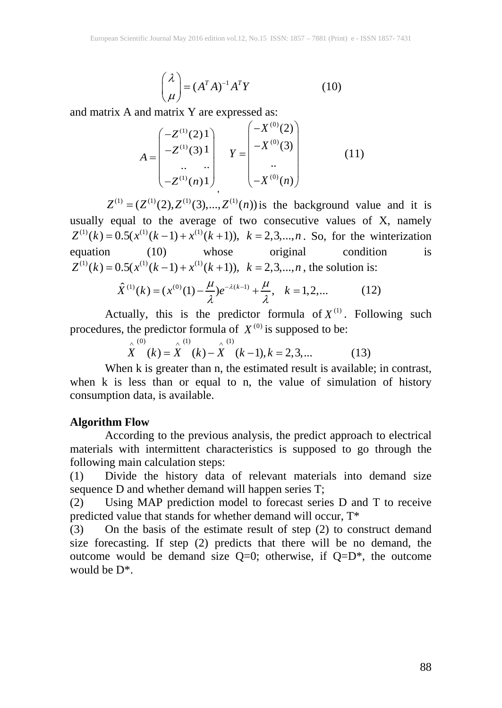$$
\begin{pmatrix} \lambda \\ \mu \end{pmatrix} = (A^T A)^{-1} A^T Y \tag{10}
$$

and matrix A and matrix Y are expressed as:

$$
A = \begin{pmatrix} -Z^{(1)}(2)1 \\ -Z^{(1)}(3)1 \\ \dots \\ -Z^{(1)}(n)1 \end{pmatrix} Y = \begin{pmatrix} -X^{(0)}(2) \\ -X^{(0)}(3) \\ \dots \\ -X^{(0)}(n) \end{pmatrix}
$$
(11)

 $Z^{(1)} = (Z^{(1)}(2), Z^{(1)}(3),..., Z^{(1)}(n))$  is the background value and it is usually equal to the average of two consecutive values of X, namely  $Z^{(1)}(k) = 0.5(x^{(1)}(k-1) + x^{(1)}(k+1)), k = 2,3,...,n$ . So, for the winterization equation (10) whose original condition is  $Z^{(1)}(k) = 0.5(x^{(1)}(k-1) + x^{(1)}(k+1)), k = 2,3,...,n$ , the solution is:

$$
\hat{X}^{(1)}(k) = (x^{(0)}(1) - \frac{\mu}{\lambda})e^{-\lambda(k-1)} + \frac{\mu}{\lambda}, \quad k = 1, 2, \dots
$$
 (12)

Actually, this is the predictor formula of  $X^{(1)}$ . Following such procedures, the predictor formula of  $X^{(0)}$  is supposed to be:

$$
\hat{\stackrel{\wedge}{X}}^{(0)}(k) = \hat{\stackrel{\wedge}{X}}^{(1)}(k) - \hat{\stackrel{\wedge}{X}}^{(1)}(k-1), k = 2, 3, ... \tag{13}
$$

When k is greater than n, the estimated result is available; in contrast, when k is less than or equal to n, the value of simulation of history consumption data, is available.

#### **Algorithm Flow**

According to the previous analysis, the predict approach to electrical materials with intermittent characteristics is supposed to go through the following main calculation steps:

(1) Divide the history data of relevant materials into demand size sequence D and whether demand will happen series T;

(2) Using MAP prediction model to forecast series D and T to receive predicted value that stands for whether demand will occur, T\*

 $(3)$  On the basis of the estimate result of step  $(2)$  to construct demand size forecasting. If step (2) predicts that there will be no demand, the outcome would be demand size  $Q=0$ ; otherwise, if  $Q=D^*$ , the outcome would be D\*.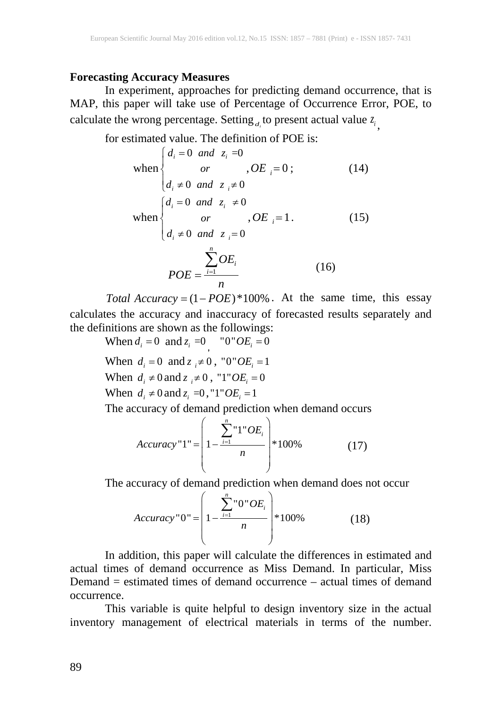#### **Forecasting Accuracy Measures**

In experiment, approaches for predicting demand occurrence, that is MAP, this paper will take use of Percentage of Occurrence Error, POE, to calculate the wrong percentage. Setting  $d_i$  to present actual value  $z_i$ 

for estimated value. The definition of POE is:

when 
$$
\begin{cases} d_i = 0 \text{ and } z_i = 0 \\ or, OE_i = 0; \end{cases}
$$
 (14)  
\n
$$
d_i \neq 0 \text{ and } z_i \neq 0
$$
  
\nwhen 
$$
\begin{cases} d_i = 0 \text{ and } z_i \neq 0 \\ or, OE_i = 1. \end{cases}
$$
 (15)  
\n
$$
\frac{1}{2}OE_i
$$
  
\n
$$
POE = \frac{1}{2}DOE_i
$$
 (16)

*Total*  $Accuracy = (1 - POE)*100%$ . At the same time, this essay calculates the accuracy and inaccuracy of forecasted results separately and the definitions are shown as the followings:

When  $d_i = 0$  and  $z_i = 0$  <sup>*o*</sup>  $OE_i = 0$ When  $d_i = 0$  and  $z_i \neq 0$ , "0"  $OE_i = 1$ When  $d_i \neq 0$  and  $z_i \neq 0$ , "1"  $OE_i = 0$ When  $d_i \neq 0$  and  $z_i = 0$ , "1"  $OE_i = 1$ 

The accuracy of demand prediction when demand occurs

$$
Accuracy "1" = \left(1 - \frac{\sum_{i=1}^{n} "1"OE_i}{n}\right) * 100\% \tag{17}
$$

The accuracy of demand prediction when demand does not occur

$$
Accuracy "0" = \left(1 - \frac{\sum_{i=1}^{n} "0" OE_i}{n}\right) * 100\%
$$
 (18)

In addition, this paper will calculate the differences in estimated and actual times of demand occurrence as Miss Demand. In particular, Miss Demand = estimated times of demand occurrence – actual times of demand occurrence.

This variable is quite helpful to design inventory size in the actual inventory management of electrical materials in terms of the number.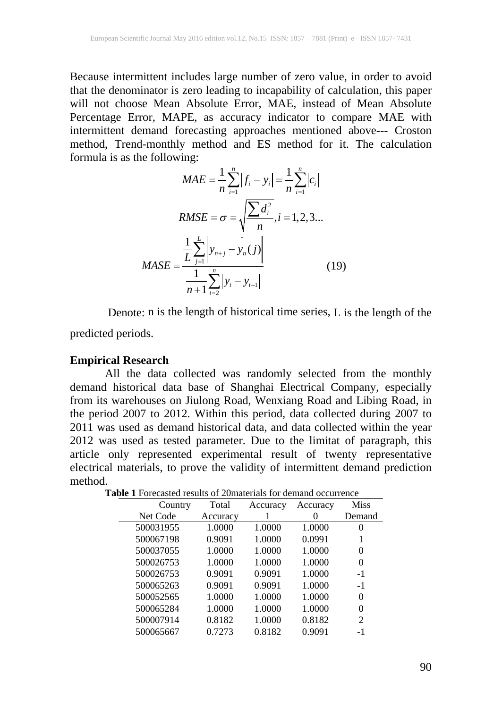Because intermittent includes large number of zero value, in order to avoid that the denominator is zero leading to incapability of calculation, this paper will not choose Mean Absolute Error, MAE, instead of Mean Absolute Percentage Error, MAPE, as accuracy indicator to compare MAE with intermittent demand forecasting approaches mentioned above--- Croston method, Trend-monthly method and ES method for it. The calculation formula is as the following:

$$
MAE = \frac{1}{n} \sum_{i=1}^{n} |f_i - y_i| = \frac{1}{n} \sum_{i=1}^{n} |c_i|
$$
  
\n
$$
RMSE = \sigma = \sqrt{\frac{\sum d_i^2}{n}}, i = 1, 2, 3...
$$
  
\n
$$
MASE = \frac{\frac{1}{L} \sum_{j=1}^{L} |y_{n+j} - y_n(j)|}{\frac{1}{n+1} \sum_{i=2}^{n} |y_i - y_{i-1}|}
$$
(19)

Denote: n is the length of historical time series, L is the length of the

predicted periods.

## **Empirical Research**

All the data collected was randomly selected from the monthly demand historical data base of Shanghai Electrical Company, especially from its warehouses on Jiulong Road, Wenxiang Road and Libing Road, in the period 2007 to 2012. Within this period, data collected during 2007 to 2011 was used as demand historical data, and data collected within the year 2012 was used as tested parameter. Due to the limitat of paragraph, this article only represented experimental result of twenty representative electrical materials, to prove the validity of intermittent demand prediction method.

| Country   | Total    | Accuracy | Accuracy | <b>Miss</b> |
|-----------|----------|----------|----------|-------------|
| Net Code  | Accuracy |          | 0        | Demand      |
| 500031955 | 1.0000   | 1.0000   | 1.0000   | 0           |
| 500067198 | 0.9091   | 1.0000   | 0.0991   |             |
| 500037055 | 1.0000   | 1.0000   | 1.0000   | $\theta$    |
| 500026753 | 1.0000   | 1.0000   | 1.0000   | 0           |
| 500026753 | 0.9091   | 0.9091   | 1.0000   | $-1$        |
| 500065263 | 0.9091   | 0.9091   | 1.0000   | $-1$        |
| 500052565 | 1.0000   | 1.0000   | 1.0000   | 0           |
| 500065284 | 1.0000   | 1.0000   | 1.0000   | 0           |
| 500007914 | 0.8182   | 1.0000   | 0.8182   | 2           |
| 500065667 | 0.7273   | 0.8182   | 0.9091   | -1          |

**Table 1** Forecasted results of 20materials for demand occurrence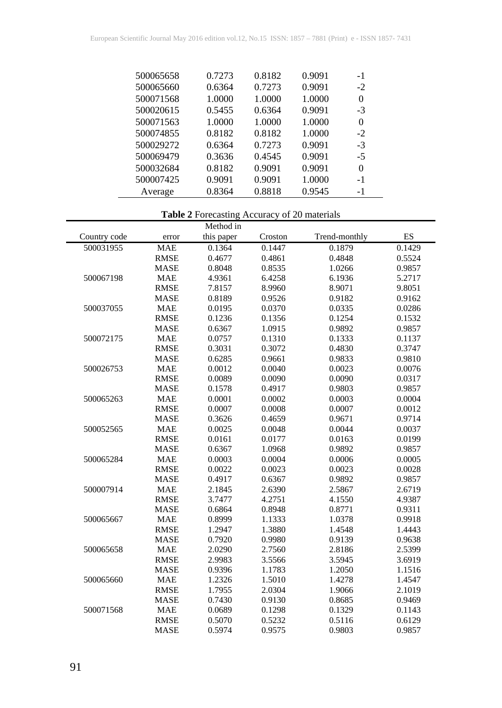| 500065658 | 0.7273 | 0.8182 | 0.9091 | $-1$ |
|-----------|--------|--------|--------|------|
| 500065660 | 0.6364 | 0.7273 | 0.9091 | $-2$ |
| 500071568 | 1.0000 | 1.0000 | 1.0000 | 0    |
| 500020615 | 0.5455 | 0.6364 | 0.9091 | $-3$ |
| 500071563 | 1.0000 | 1.0000 | 1.0000 | 0    |
| 500074855 | 0.8182 | 0.8182 | 1.0000 | $-2$ |
| 500029272 | 0.6364 | 0.7273 | 0.9091 | $-3$ |
| 500069479 | 0.3636 | 0.4545 | 0.9091 | $-5$ |
| 500032684 | 0.8182 | 0.9091 | 0.9091 | 0    |
| 500007425 | 0.9091 | 0.9091 | 1.0000 | -1   |
| Average   | 0.8364 | 0.8818 | 0.9545 | $-1$ |

# **Table 2** Forecasting Accuracy of 20 materials

|              |             | Method in  |         |               |        |
|--------------|-------------|------------|---------|---------------|--------|
| Country code | error       | this paper | Croston | Trend-monthly | ES     |
| 500031955    | <b>MAE</b>  | 0.1364     | 0.1447  | 0.1879        | 0.1429 |
|              | <b>RMSE</b> | 0.4677     | 0.4861  | 0.4848        | 0.5524 |
|              | <b>MASE</b> | 0.8048     | 0.8535  | 1.0266        | 0.9857 |
| 500067198    | <b>MAE</b>  | 4.9361     | 6.4258  | 6.1936        | 5.2717 |
|              | <b>RMSE</b> | 7.8157     | 8.9960  | 8.9071        | 9.8051 |
|              | <b>MASE</b> | 0.8189     | 0.9526  | 0.9182        | 0.9162 |
| 500037055    | <b>MAE</b>  | 0.0195     | 0.0370  | 0.0335        | 0.0286 |
|              | <b>RMSE</b> | 0.1236     | 0.1356  | 0.1254        | 0.1532 |
|              | <b>MASE</b> | 0.6367     | 1.0915  | 0.9892        | 0.9857 |
| 500072175    | <b>MAE</b>  | 0.0757     | 0.1310  | 0.1333        | 0.1137 |
|              | <b>RMSE</b> | 0.3031     | 0.3072  | 0.4830        | 0.3747 |
|              | <b>MASE</b> | 0.6285     | 0.9661  | 0.9833        | 0.9810 |
| 500026753    | <b>MAE</b>  | 0.0012     | 0.0040  | 0.0023        | 0.0076 |
|              | <b>RMSE</b> | 0.0089     | 0.0090  | 0.0090        | 0.0317 |
|              | <b>MASE</b> | 0.1578     | 0.4917  | 0.9803        | 0.9857 |
| 500065263    | <b>MAE</b>  | 0.0001     | 0.0002  | 0.0003        | 0.0004 |
|              | <b>RMSE</b> | 0.0007     | 0.0008  | 0.0007        | 0.0012 |
|              | <b>MASE</b> | 0.3626     | 0.4659  | 0.9671        | 0.9714 |
| 500052565    | <b>MAE</b>  | 0.0025     | 0.0048  | 0.0044        | 0.0037 |
|              | <b>RMSE</b> | 0.0161     | 0.0177  | 0.0163        | 0.0199 |
|              | <b>MASE</b> | 0.6367     | 1.0968  | 0.9892        | 0.9857 |
| 500065284    | <b>MAE</b>  | 0.0003     | 0.0004  | 0.0006        | 0.0005 |
|              | <b>RMSE</b> | 0.0022     | 0.0023  | 0.0023        | 0.0028 |
|              | <b>MASE</b> | 0.4917     | 0.6367  | 0.9892        | 0.9857 |
| 500007914    | <b>MAE</b>  | 2.1845     | 2.6390  | 2.5867        | 2.6719 |
|              | <b>RMSE</b> | 3.7477     | 4.2751  | 4.1550        | 4.9387 |
|              | <b>MASE</b> | 0.6864     | 0.8948  | 0.8771        | 0.9311 |
| 500065667    | <b>MAE</b>  | 0.8999     | 1.1333  | 1.0378        | 0.9918 |
|              | <b>RMSE</b> | 1.2947     | 1.3880  | 1.4548        | 1.4443 |
|              | <b>MASE</b> | 0.7920     | 0.9980  | 0.9139        | 0.9638 |
| 500065658    | <b>MAE</b>  | 2.0290     | 2.7560  | 2.8186        | 2.5399 |
|              | <b>RMSE</b> | 2.9983     | 3.5566  | 3.5945        | 3.6919 |
|              | <b>MASE</b> | 0.9396     | 1.1783  | 1.2050        | 1.1516 |
| 500065660    | <b>MAE</b>  | 1.2326     | 1.5010  | 1.4278        | 1.4547 |
|              | <b>RMSE</b> | 1.7955     | 2.0304  | 1.9066        | 2.1019 |
|              | <b>MASE</b> | 0.7430     | 0.9130  | 0.8685        | 0.9469 |
| 500071568    | <b>MAE</b>  | 0.0689     | 0.1298  | 0.1329        | 0.1143 |
|              | <b>RMSE</b> | 0.5070     | 0.5232  | 0.5116        | 0.6129 |
|              | <b>MASE</b> | 0.5974     | 0.9575  | 0.9803        | 0.9857 |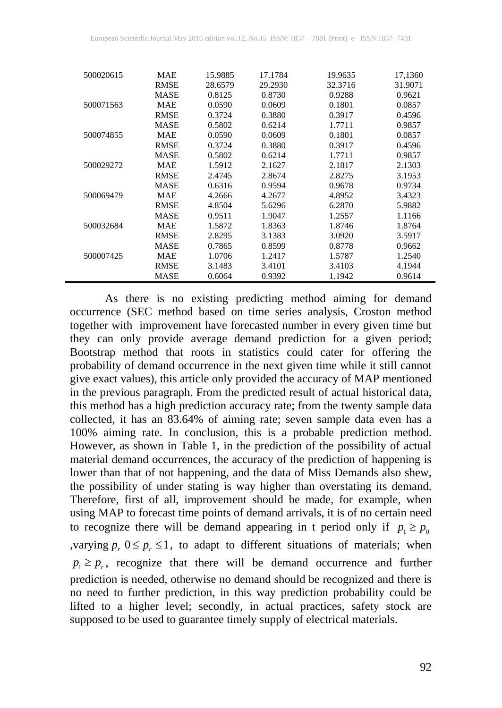| 500020615 | <b>MAE</b>  | 15.9885 | 17.1784 | 19.9635 | 17,1360 |
|-----------|-------------|---------|---------|---------|---------|
|           | <b>RMSE</b> | 28.6579 | 29.2930 | 32.3716 | 31.9071 |
|           | <b>MASE</b> | 0.8125  | 0.8730  | 0.9288  | 0.9621  |
| 500071563 | <b>MAE</b>  | 0.0590  | 0.0609  | 0.1801  | 0.0857  |
|           | <b>RMSE</b> | 0.3724  | 0.3880  | 0.3917  | 0.4596  |
|           | <b>MASE</b> | 0.5802  | 0.6214  | 1.7711  | 0.9857  |
| 500074855 | MAE         | 0.0590  | 0.0609  | 0.1801  | 0.0857  |
|           | <b>RMSE</b> | 0.3724  | 0.3880  | 0.3917  | 0.4596  |
|           | <b>MASE</b> | 0.5802  | 0.6214  | 1.7711  | 0.9857  |
| 500029272 | <b>MAE</b>  | 1.5912  | 2.1627  | 2.1817  | 2.1303  |
|           | <b>RMSE</b> | 2.4745  | 2.8674  | 2.8275  | 3.1953  |
|           | MASE        | 0.6316  | 0.9594  | 0.9678  | 0.9734  |
| 500069479 | MAE         | 4.2666  | 4.2677  | 4.8952  | 3.4323  |
|           | <b>RMSE</b> | 4.8504  | 5.6296  | 6.2870  | 5.9882  |
|           | MASE        | 0.9511  | 1.9047  | 1.2557  | 1.1166  |
| 500032684 | <b>MAE</b>  | 1.5872  | 1.8363  | 1.8746  | 1.8764  |
|           | <b>RMSE</b> | 2.8295  | 3.1383  | 3.0920  | 3.5917  |
|           | <b>MASE</b> | 0.7865  | 0.8599  | 0.8778  | 0.9662  |
| 500007425 | <b>MAE</b>  | 1.0706  | 1.2417  | 1.5787  | 1.2540  |
|           | <b>RMSE</b> | 3.1483  | 3.4101  | 3.4103  | 4.1944  |
|           | MASE        | 0.6064  | 0.9392  | 1.1942  | 0.9614  |

As there is no existing predicting method aiming for demand occurrence (SEC method based on time series analysis, Croston method together with improvement have forecasted number in every given time but they can only provide average demand prediction for a given period; Bootstrap method that roots in statistics could cater for offering the probability of demand occurrence in the next given time while it still cannot give exact values), this article only provided the accuracy of MAP mentioned in the previous paragraph. From the predicted result of actual historical data, this method has a high prediction accuracy rate; from the twenty sample data collected, it has an 83.64% of aiming rate; seven sample data even has a 100% aiming rate. In conclusion, this is a probable prediction method. However, as shown in Table 1, in the prediction of the possibility of actual material demand occurrences, the accuracy of the prediction of happening is lower than that of not happening, and the data of Miss Demands also shew, the possibility of under stating is way higher than overstating its demand. Therefore, first of all, improvement should be made, for example, when using MAP to forecast time points of demand arrivals, it is of no certain need to recognize there will be demand appearing in t period only if  $p_1 \ge p_0$ , varying  $p_r$ ,  $0 \leq p_r \leq 1$ , to adapt to different situations of materials; when  $p_1 \geq p_r$ , recognize that there will be demand occurrence and further prediction is needed, otherwise no demand should be recognized and there is no need to further prediction, in this way prediction probability could be lifted to a higher level; secondly, in actual practices, safety stock are supposed to be used to guarantee timely supply of electrical materials.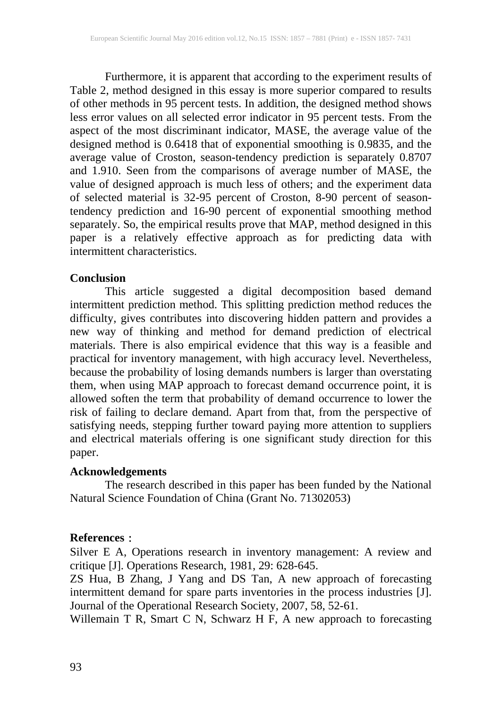Furthermore, it is apparent that according to the experiment results of Table 2, method designed in this essay is more superior compared to results of other methods in 95 percent tests. In addition, the designed method shows less error values on all selected error indicator in 95 percent tests. From the aspect of the most discriminant indicator, MASE, the average value of the designed method is 0.6418 that of exponential smoothing is 0.9835, and the average value of Croston, season-tendency prediction is separately 0.8707 and 1.910. Seen from the comparisons of average number of MASE, the value of designed approach is much less of others; and the experiment data of selected material is 32-95 percent of Croston, 8-90 percent of seasontendency prediction and 16-90 percent of exponential smoothing method separately. So, the empirical results prove that MAP, method designed in this paper is a relatively effective approach as for predicting data with intermittent characteristics.

#### **Conclusion**

This article suggested a digital decomposition based demand intermittent prediction method. This splitting prediction method reduces the difficulty, gives contributes into discovering hidden pattern and provides a new way of thinking and method for demand prediction of electrical materials. There is also empirical evidence that this way is a feasible and practical for inventory management, with high accuracy level. Nevertheless, because the probability of losing demands numbers is larger than overstating them, when using MAP approach to forecast demand occurrence point, it is allowed soften the term that probability of demand occurrence to lower the risk of failing to declare demand. Apart from that, from the perspective of satisfying needs, stepping further toward paying more attention to suppliers and electrical materials offering is one significant study direction for this paper.

## **Acknowledgements**

The research described in this paper has been funded by the National Natural Science Foundation of China (Grant No. 71302053)

## **References**:

Silver E A, Operations research in inventory management: A review and critique [J]. Operations Research, 1981, 29: 628-645.

ZS Hua, B Zhang, J Yang and DS Tan, A new approach of forecasting intermittent demand for spare parts inventories in the process industries [J]. Journal of the Operational Research Society, 2007, 58, 52-61.

Willemain T R, Smart C N, Schwarz H F, A new approach to forecasting